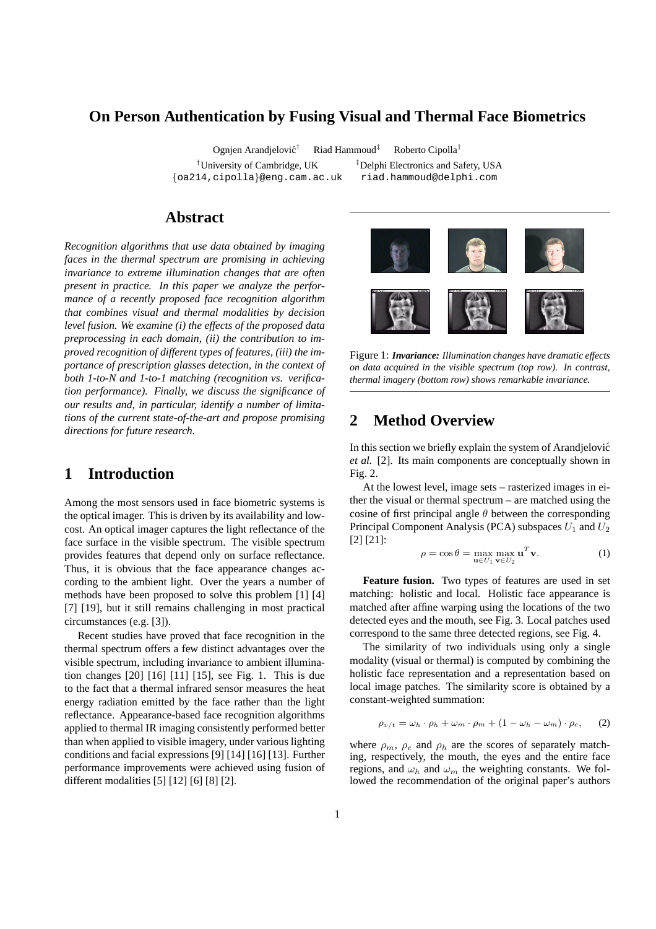## **On Person Authentication by Fusing Visual and Thermal Face Biometrics**

Ognjen Arandjelovic´ <sup>†</sup>University of Cambridge, UK <sup>‡</sup>Delphi Electronics and Safety, USA {oa214,cipolla}@eng.cam.ac.uk riad.hammoud@delphi.com

† Riad Hammoud‡ Roberto Cipolla†

## **Abstract**

*Recognition algorithms that use data obtained by imaging faces in the thermal spectrum are promising in achieving invariance to extreme illumination changes that are often present in practice. In this paper we analyze the performance of a recently proposed face recognition algorithm that combines visual and thermal modalities by decision level fusion. We examine (i) the effects of the proposed data preprocessing in each domain, (ii) the contribution to improved recognition of different types of features, (iii) the importance of prescription glasses detection, in the context of both 1-to-N and 1-to-1 matching (recognition vs. verification performance). Finally, we discuss the significance of our results and, in particular, identify a number of limitations of the current state-of-the-art and propose promising directions for future research.*

### **1 Introduction**

Among the most sensors used in face biometric systems is the optical imager. This is driven by its availability and lowcost. An optical imager captures the light reflectance of the face surface in the visible spectrum. The visible spectrum provides features that depend only on surface reflectance. Thus, it is obvious that the face appearance changes according to the ambient light. Over the years a number of methods have been proposed to solve this problem [1] [4] [7] [19], but it still remains challenging in most practical circumstances (e.g. [3]).

Recent studies have proved that face recognition in the thermal spectrum offers a few distinct advantages over the visible spectrum, including invariance to ambient illumination changes [20] [16] [11] [15], see Fig. 1. This is due to the fact that a thermal infrared sensor measures the heat energy radiation emitted by the face rather than the light reflectance. Appearance-based face recognition algorithms applied to thermal IR imaging consistently performed better than when applied to visible imagery, under various lighting conditions and facial expressions [9] [14] [16] [13]. Further performance improvements were achieved using fusion of different modalities [5] [12] [6] [8] [2].



Figure 1: *Invariance: Illumination changes have dramatic effects on data acquired in the visible spectrum (top row). In contrast, thermal imagery (bottom row) shows remarkable invariance.*

# **2 Method Overview**

In this section we briefly explain the system of Arandjelovic´ *et al.* [2]. Its main components are conceptually shown in Fig. 2.

At the lowest level, image sets – rasterized images in either the visual or thermal spectrum – are matched using the cosine of first principal angle  $\theta$  between the corresponding Principal Component Analysis (PCA) subspaces  $U_1$  and  $U_2$ [2] [21]:

$$
\rho = \cos \theta = \max_{\mathbf{u} \in U_1} \max_{\mathbf{v} \in U_2} \mathbf{u}^T \mathbf{v}.
$$
 (1)

**Feature fusion.** Two types of features are used in set matching: holistic and local. Holistic face appearance is matched after affine warping using the locations of the two detected eyes and the mouth, see Fig. 3. Local patches used correspond to the same three detected regions, see Fig. 4.

The similarity of two individuals using only a single modality (visual or thermal) is computed by combining the holistic face representation and a representation based on local image patches. The similarity score is obtained by a constant-weighted summation:

$$
\rho_{v/t} = \omega_h \cdot \rho_h + \omega_m \cdot \rho_m + (1 - \omega_h - \omega_m) \cdot \rho_e, \qquad (2)
$$

where  $\rho_m$ ,  $\rho_e$  and  $\rho_h$  are the scores of separately matching, respectively, the mouth, the eyes and the entire face regions, and  $\omega_h$  and  $\omega_m$  the weighting constants. We followed the recommendation of the original paper's authors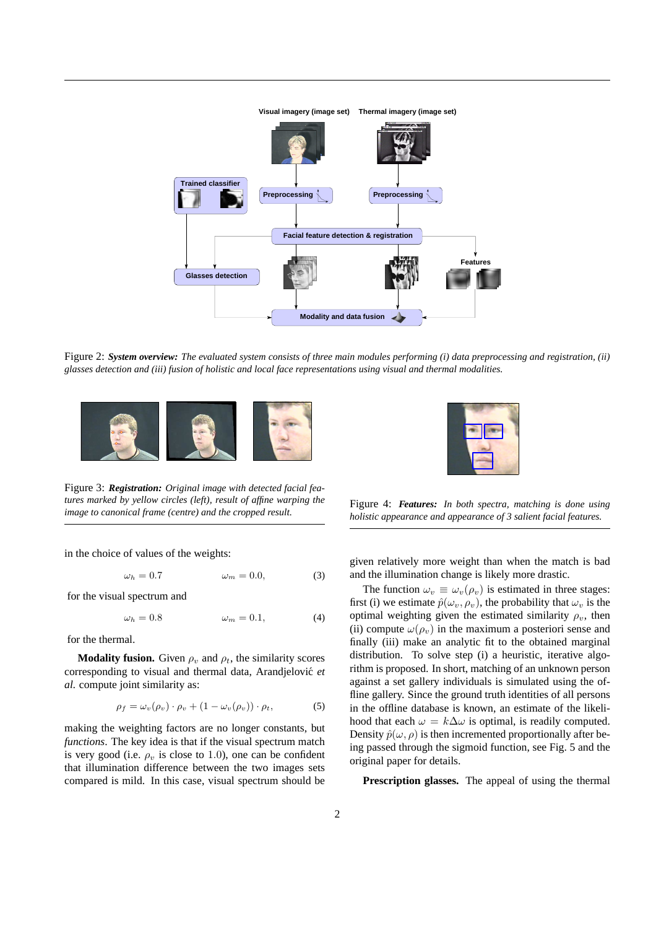

Figure 2: *System overview: The evaluated system consists of three main modules performing (i) data preprocessing and registration, (ii) glasses detection and (iii) fusion of holistic and local face representations using visual and thermal modalities.*



Figure 3: *Registration: Original image with detected facial features marked by yellow circles (left), result of affine warping the image to canonical frame (centre) and the cropped result.*

in the choice of values of the weights:

$$
\omega_h = 0.7 \qquad \qquad \omega_m = 0.0, \tag{3}
$$

for the visual spectrum and

$$
\omega_h = 0.8 \qquad \qquad \omega_m = 0.1, \qquad \qquad (4)
$$

for the thermal.

**Modality fusion.** Given  $\rho_v$  and  $\rho_t$ , the similarity scores corresponding to visual and thermal data, Arandjelovic´ *et al.* compute joint similarity as:

$$
\rho_f = \omega_v(\rho_v) \cdot \rho_v + (1 - \omega_v(\rho_v)) \cdot \rho_t, \tag{5}
$$

making the weighting factors are no longer constants, but *functions*. The key idea is that if the visual spectrum match is very good (i.e.  $\rho_n$  is close to 1.0), one can be confident that illumination difference between the two images sets compared is mild. In this case, visual spectrum should be



Figure 4: *Features: In both spectra, matching is done using holistic appearance and appearance of 3 salient facial features.*

given relatively more weight than when the match is bad and the illumination change is likely more drastic.

The function  $\omega_v \equiv \omega_v(\rho_v)$  is estimated in three stages: first (i) we estimate  $\hat{p}(\omega_v, \rho_v)$ , the probability that  $\omega_v$  is the optimal weighting given the estimated similarity  $\rho_v$ , then (ii) compute  $\omega(\rho_v)$  in the maximum a posteriori sense and finally (iii) make an analytic fit to the obtained marginal distribution. To solve step (i) a heuristic, iterative algorithm is proposed. In short, matching of an unknown person against a set gallery individuals is simulated using the offline gallery. Since the ground truth identities of all persons in the offline database is known, an estimate of the likelihood that each  $\omega = k\Delta\omega$  is optimal, is readily computed. Density  $\hat{p}(\omega, \rho)$  is then incremented proportionally after being passed through the sigmoid function, see Fig. 5 and the original paper for details.

**Prescription glasses.** The appeal of using the thermal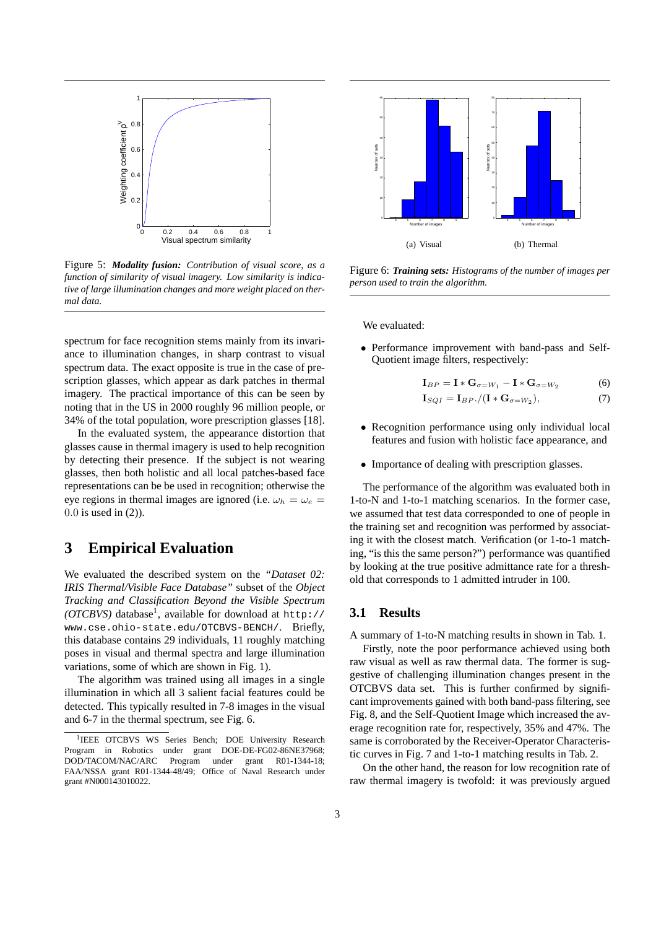

Figure 5: *Modality fusion: Contribution of visual score, as a function of similarity of visual imagery. Low similarity is indicative of large illumination changes and more weight placed on thermal data.*

spectrum for face recognition stems mainly from its invariance to illumination changes, in sharp contrast to visual spectrum data. The exact opposite is true in the case of prescription glasses, which appear as dark patches in thermal imagery. The practical importance of this can be seen by noting that in the US in 2000 roughly 96 million people, or 34% of the total population, wore prescription glasses [18].

In the evaluated system, the appearance distortion that glasses cause in thermal imagery is used to help recognition by detecting their presence. If the subject is not wearing glasses, then both holistic and all local patches-based face representations can be be used in recognition; otherwise the eye regions in thermal images are ignored (i.e.  $\omega_h = \omega_e$ ) 0.0 is used in (2)).

# **3 Empirical Evaluation**

We evaluated the described system on the *"Dataset 02: IRIS Thermal/Visible Face Database"* subset of the *Object Tracking and Classification Beyond the Visible Spectrum (OTCBVS)* database<sup>1</sup> , available for download at http:// www.cse.ohio-state.edu/OTCBVS-BENCH/. Briefly, this database contains 29 individuals, 11 roughly matching poses in visual and thermal spectra and large illumination variations, some of which are shown in Fig. 1).

The algorithm was trained using all images in a single illumination in which all 3 salient facial features could be detected. This typically resulted in 7-8 images in the visual and 6-7 in the thermal spectrum, see Fig. 6.



Figure 6: *Training sets: Histograms of the number of images per person used to train the algorithm.*

We evaluated:

• Performance improvement with band-pass and Self-Quotient image filters, respectively:

$$
\mathbf{I}_{BP} = \mathbf{I} \ast \mathbf{G}_{\sigma = W_1} - \mathbf{I} \ast \mathbf{G}_{\sigma = W_2} \tag{6}
$$

$$
\mathbf{I}_{SQI} = \mathbf{I}_{BP} \cdot / (\mathbf{I} \ast \mathbf{G}_{\sigma = W_2}), \tag{7}
$$

- Recognition performance using only individual local features and fusion with holistic face appearance, and
- Importance of dealing with prescription glasses.

The performance of the algorithm was evaluated both in 1-to-N and 1-to-1 matching scenarios. In the former case, we assumed that test data corresponded to one of people in the training set and recognition was performed by associating it with the closest match. Verification (or 1-to-1 matching, "is this the same person?") performance was quantified by looking at the true positive admittance rate for a threshold that corresponds to 1 admitted intruder in 100.

#### **3.1 Results**

A summary of 1-to-N matching results in shown in Tab. 1.

Firstly, note the poor performance achieved using both raw visual as well as raw thermal data. The former is suggestive of challenging illumination changes present in the OTCBVS data set. This is further confirmed by significant improvements gained with both band-pass filtering, see Fig. 8, and the Self-Quotient Image which increased the average recognition rate for, respectively, 35% and 47%. The same is corroborated by the Receiver-Operator Characteristic curves in Fig. 7 and 1-to-1 matching results in Tab. 2.

On the other hand, the reason for low recognition rate of raw thermal imagery is twofold: it was previously argued

<sup>&</sup>lt;sup>1</sup>IEEE OTCBVS WS Series Bench; DOE University Research Program in Robotics under grant DOE-DE-FG02-86NE37968; DOD/TACOM/NAC/ARC Program under grant R01-1344-18; FAA/NSSA grant R01-1344-48/49; Office of Naval Research under grant #N000143010022.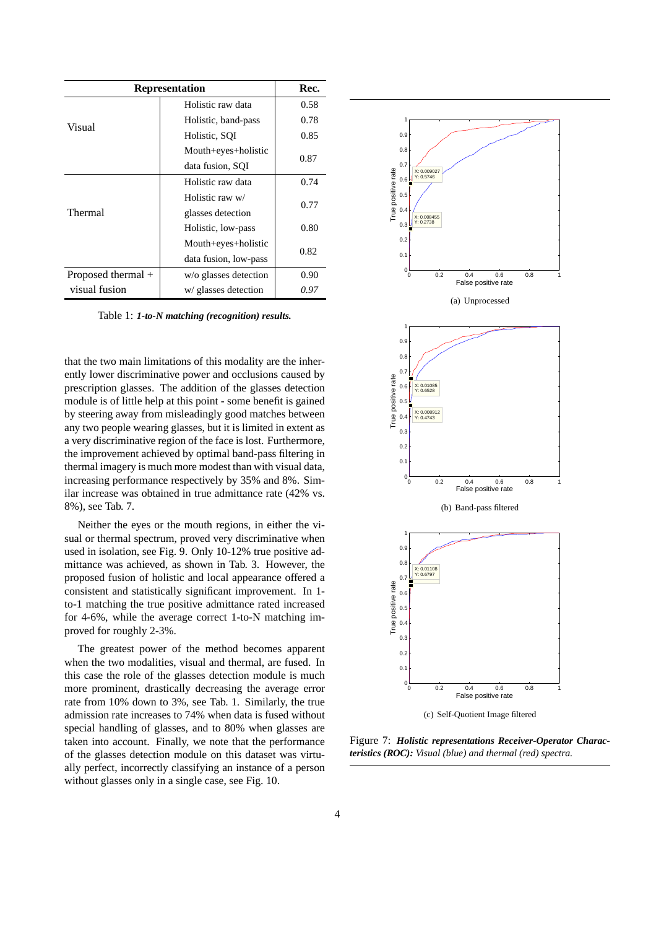| <b>Representation</b> |                       | Rec. |
|-----------------------|-----------------------|------|
| Visual                | Holistic raw data     | 0.58 |
|                       | Holistic, band-pass   | 0.78 |
|                       | Holistic, SQI         | 0.85 |
|                       | Mouth+eyes+holistic   |      |
|                       | data fusion, SQI      | 0.87 |
| Thermal               | Holistic raw data     | 0.74 |
|                       | Holistic raw $w/$     | 0.77 |
|                       | glasses detection     |      |
|                       | Holistic, low-pass    | 0.80 |
|                       | Mouth+eyes+holistic   | 0.82 |
|                       | data fusion, low-pass |      |
| Proposed thermal $+$  | w/o glasses detection | 0.90 |
| visual fusion         | w/ glasses detection  | 0.97 |

Table 1: *1-to-N matching (recognition) results.*

that the two main limitations of this modality are the inherently lower discriminative power and occlusions caused by prescription glasses. The addition of the glasses detection module is of little help at this point - some benefit is gained by steering away from misleadingly good matches between any two people wearing glasses, but it is limited in extent as a very discriminative region of the face is lost. Furthermore, the improvement achieved by optimal band-pass filtering in thermal imagery is much more modest than with visual data, increasing performance respectively by 35% and 8%. Similar increase was obtained in true admittance rate (42% vs. 8%), see Tab. 7.

Neither the eyes or the mouth regions, in either the visual or thermal spectrum, proved very discriminative when used in isolation, see Fig. 9. Only 10-12% true positive admittance was achieved, as shown in Tab. 3. However, the proposed fusion of holistic and local appearance offered a consistent and statistically significant improvement. In 1 to-1 matching the true positive admittance rated increased for 4-6%, while the average correct 1-to-N matching improved for roughly 2-3%.

The greatest power of the method becomes apparent when the two modalities, visual and thermal, are fused. In this case the role of the glasses detection module is much more prominent, drastically decreasing the average error rate from 10% down to 3%, see Tab. 1. Similarly, the true admission rate increases to 74% when data is fused without special handling of glasses, and to 80% when glasses are taken into account. Finally, we note that the performance of the glasses detection module on this dataset was virtually perfect, incorrectly classifying an instance of a person without glasses only in a single case, see Fig. 10.



Figure 7: *Holistic representations Receiver-Operator Characteristics (ROC): Visual (blue) and thermal (red) spectra.*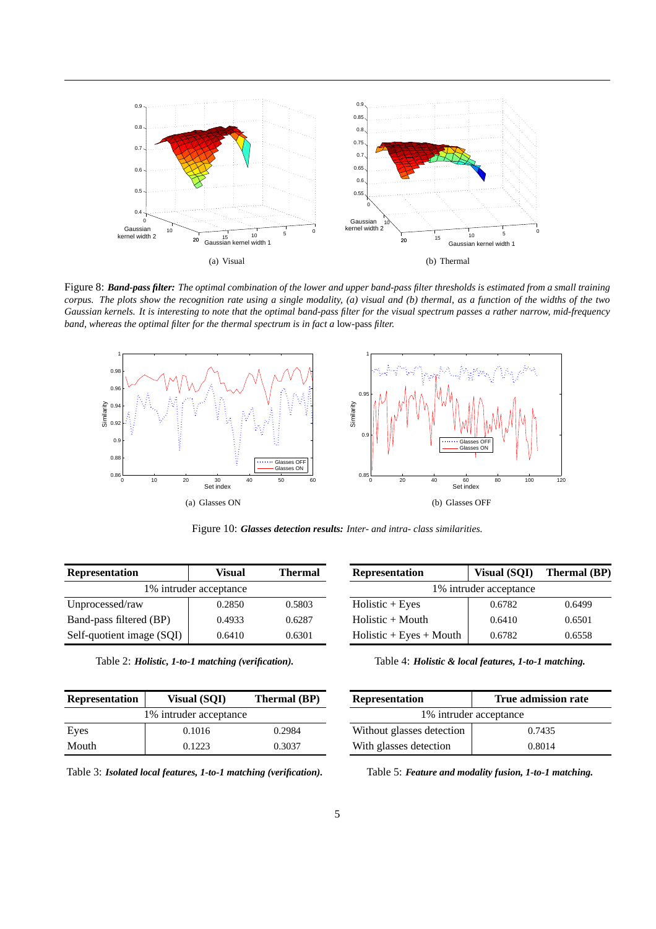

Figure 8: *Band-pass filter: The optimal combination of the lower and upper band-pass filter thresholds is estimated from a small training corpus. The plots show the recognition rate using a single modality, (a) visual and (b) thermal, as a function of the widths of the two Gaussian kernels. It is interesting to note that the optimal band-pass filter for the visual spectrum passes a rather narrow, mid-frequency band, whereas the optimal filter for the thermal spectrum is in fact a* low-pass *filter.*



Figure 10: *Glasses detection results: Inter- and intra- class similarities.*

| <b>Representation</b>     | Visual | <b>Thermal</b> |  |
|---------------------------|--------|----------------|--|
| 1% intruder acceptance    |        |                |  |
| Unprocessed/raw           | 0.2850 | 0.5803         |  |
| Band-pass filtered (BP)   | 0.4933 | 0.6287         |  |
| Self-quotient image (SQI) | 0.6410 | 0.6301         |  |

Table 2: *Holistic, 1-to-1 matching (verification).*

| <b>Representation</b>     | Visual (SOI) | <b>Thermal</b> (BP) |  |
|---------------------------|--------------|---------------------|--|
| 1% intruder acceptance    |              |                     |  |
| $Holistic + Eyes$         | 0.6782       | 0.6499              |  |
| $Holistic + Mount$        | 0.6410       | 0.6501              |  |
| $Holistic + Eyes + Mouth$ | 0.6782       | 0.6558              |  |

Table 4: *Holistic & local features, 1-to-1 matching.*

**Representation True admission rate** 

| <b>Representation</b>  | Visual (SQI) | Thermal (BP) |
|------------------------|--------------|--------------|
| 1% intruder acceptance |              |              |
| Eyes                   | 0.1016       | 0.2984       |
| Mouth                  | 0.1223       | 0.3037       |

| Table 3: Isolated local features, 1-to-1 matching (verification). |  |
|-------------------------------------------------------------------|--|

| 1% intruder acceptance    |        |  |  |  |
|---------------------------|--------|--|--|--|
| Without glasses detection | 0.7435 |  |  |  |
| With glasses detection    | 0.8014 |  |  |  |
|                           |        |  |  |  |

Table 5: *Feature and modality fusion, 1-to-1 matching.*